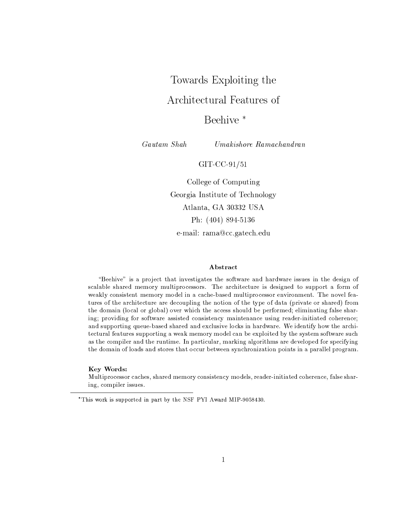# Towards Exploiting the

# Architectural Features of

# Beehive<sup>\*</sup>

Gautam Shah

 $Umakishore$  Ramachandran

# $GIT-CC-91/51$

College of Computing Georgia Institute of Technology Atlanta, GA 30332 USA Ph: (404) 894-5136

e-mail: rama@cc.gatech.edu

# Abstract

"Beehive" is a project that investigates the software and hardware issues in the design of scalable shared memory multiprocessors. The architecture is designed to support a form of weakly consistent memory model in a cache-based multiprocessor environment. The novel features of the architecture are decoupling the notion of the type of data (private or shared) from the domain (local or global) over which the access should be performed; eliminating false sharing; providing for software assisted consistency maintenance using reader-initiated coherence; and supporting queue-based shared and exclusive locks in hardware. We identify how the architectural features supporting a weak memory model can be exploited by the system software such as the compiler and the runtime. In particular, marking algorithms are developed for specifying the domain of loads and stores that occur between synchronization points in a parallel program.

# Key Words:

Multiprocessor caches, shared memory consistency models, reader-initiated coherence, false sharing, compiler issues.

<sup>\*</sup>This work is supported in part by the NSF PYI Award MIP-9058430.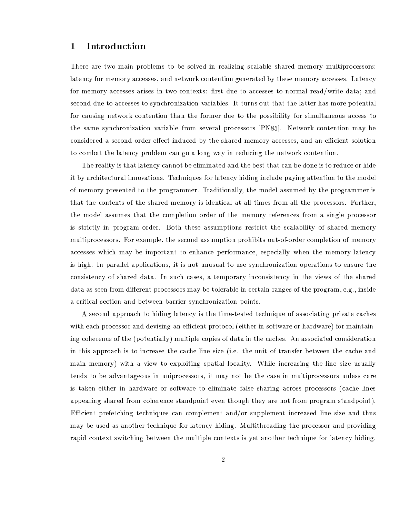## $\mathbf{1}$ Introduction

There are two main problems to be solved in realizing scalable shared memory multiprocessors: latency for memory accesses, and network contention generated by these memory accesses. Latency for memory accesses arises in two contexts: first due to accesses to normal read/write data; and second due to accesses to synchronization variables. It turns out that the latter has more potential for causing network contention than the former due to the possibility for simultaneous access to the same synchronization variable from several processors [PN85]. Network contention may be considered a second order effect induced by the shared memory accesses, and an efficient solution to combat the latency problem can go a long way in reducing the network contention.

The reality is that latency cannot be eliminated and the best that can be done is to reduce or hide it by architectural innovations. Techniques for latency hiding include paying attention to the model of memory presented to the programmer. Traditionally, the model assumed by the programmer is that the contents of the shared memory is identical at all times from all the processors. Further, the model assumes that the completion order of the memory references from a single processor is strictly in program order. Both these assumptions restrict the scalability of shared memory multiprocessors. For example, the second assumption prohibits out-of-order completion of memory accesses which may be important to enhance performance, especially when the memory latency is high. In parallel applications, it is not unusual to use synchronization operations to ensure the consistency of shared data. In such cases, a temporary inconsistency in the views of the shared data as seen from different processors may be tolerable in certain ranges of the program, e.g., inside a critical section and between barrier synchronization points.

A second approach to hiding latency is the time-tested technique of associating private caches with each processor and devising an efficient protocol (either in software or hardware) for maintaining coherence of the (potentially) multiple copies of data in the caches. An associated consideration in this approach is to increase the cache line size (i.e. the unit of transfer between the cache and main memory) with a view to exploiting spatial locality. While increasing the line size usually tends to be advantageous in uniprocessors, it may not be the case in multiprocessors unless care is taken either in hardware or software to eliminate false sharing across processors (cache lines appearing shared from coherence standpoint even though they are not from program standpoint). Efficient prefetching techniques can complement and/or supplement increased line size and thus may be used as another technique for latency hiding. Multithreading the processor and providing rapid context switching between the multiple contexts is yet another technique for latency hiding.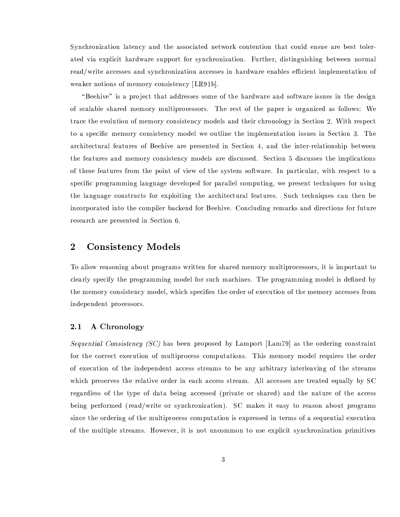Synchronization latency and the associated network contention that could ensue are best tolerated via explicit hardware support for synchronization. Further, distinguishing between normal read/write accesses and synchronization accesses in hardware enables efficient implementation of weaker notions of memory consistency [LR91b].

"Beehive" is a project that addresses some of the hardware and software issues in the design of scalable shared memory multiprocessors. The rest of the paper is organized as follows: We trace the evolution of memory consistency models and their chronology in Section 2. With respect to a specific memory consistency model we outline the implementation issues in Section 3. The architectural features of Beehive are presented in Section 4, and the inter-relationship between the features and memory consistency models are discussed. Section 5 discusses the implications of these features from the point of view of the system software. In particular, with respect to a specific programming language developed for parallel computing, we present techniques for using the language constructs for exploiting the architectural features. Such techniques can then be incorporated into the compiler backend for Beehive. Concluding remarks and directions for future research are presented in Section 6.

## **Consistency Models**  $\bf{2}$

To allow reasoning about programs written for shared memory multiprocessors, it is important to clearly specify the programming model for such machines. The programming model is defined by the memory consistency model, which specifies the order of execution of the memory accesses from independent processors.

### A Chronology  $2.1$

Sequential Consistency (SC) has been proposed by Lamport [Lam79] as the ordering constraint for the correct execution of multiprocess computations. This memory model requires the order of execution of the independent access streams to be any arbitrary interleaving of the streams which preserves the relative order in each access stream. All accesses are treated equally by SC regardless of the type of data being accessed (private or shared) and the nature of the access being performed (read/write or synchronization). SC makes it easy to reason about programs since the ordering of the multiprocess computation is expressed in terms of a sequential execution of the multiple streams. However, it is not uncommon to use explicit synchronization primitives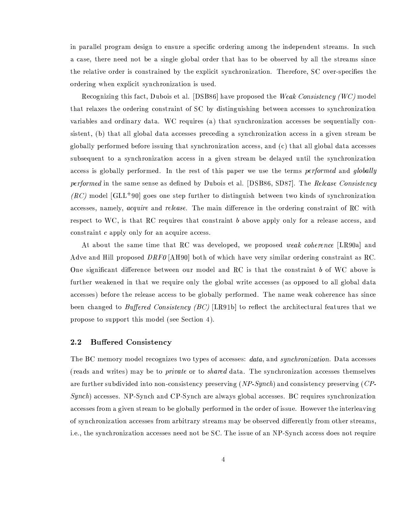in parallel program design to ensure a specific ordering among the independent streams. In such a case, there need not be a single global order that has to be observed by all the streams since the relative order is constrained by the explicit synchronization. Therefore, SC over-specifies the ordering when explicit synchronization is used.

Recognizing this fact, Dubois et al. [DSB86] have proposed the Weak Consistency (WC) model that relaxes the ordering constraint of SC by distinguishing between accesses to synchronization variables and ordinary data. WC requires (a) that synchronization accesses be sequentially consistent, (b) that all global data accesses preceding a synchronization access in a given stream be globally performed before issuing that synchronization access, and (c) that all global data accesses subsequent to a synchronization access in a given stream be delayed until the synchronization access is globally performed. In the rest of this paper we use the terms *performed* and *globally* performed in the same sense as defined by Dubois et al. [DSB86, SD87]. The Release Consistency  $(RC)$  model [GLL<sup>+90]</sup> goes one step further to distinguish between two kinds of synchronization accesses, namely, *acquire* and *release*. The main difference in the ordering constraint of RC with respect to WC, is that RC requires that constraint b above apply only for a release access, and constraint c apply only for an acquire access.

At about the same time that RC was developed, we proposed weak coherence [LR90a] and Adve and Hill proposed  $DRF0$  [AH90] both of which have very similar ordering constraint as RC. One significant difference between our model and RC is that the constraint b of WC above is further weakened in that we require only the global write accesses (as opposed to all global data accesses) before the release access to be globally performed. The name weak coherence has since been changed to Buffered Consistency (BC) [LR91b] to reflect the architectural features that we propose to support this model (see Section 4).

#### $2.2$ **Buffered Consistency**

The BC memory model recognizes two types of accesses: *data*, and *synchronization*. Data accesses (reads and writes) may be to *private* or to *shared* data. The synchronization accesses themselves are further subdivided into non-consistency preserving  $(NP\text{-}Synch)$  and consistency preserving  $(CP\text{-}synch)$  $Synch$ ) accesses. NP-Synch and CP-Synch are always global accesses. BC requires synchronization accesses from a given stream to be globally performed in the order of issue. However the interleaving of synchronization accesses from arbitrary streams may be observed differently from other streams, i.e., the synchronization accesses need not be SC. The issue of an NP-Synch access does not require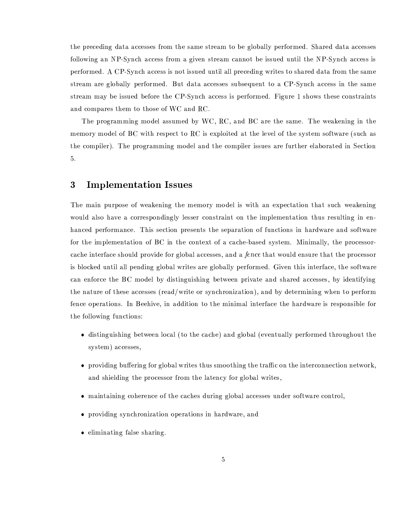the preceding data accesses from the same stream to be globally performed. Shared data accesses following an NP-Synch access from a given stream cannot be issued until the NP-Synch access is performed. A CP-Synch access is not issued until all preceding writes to shared data from the same stream are globally performed. But data accesses subsequent to a CP-Synch access in the same stream may be issued before the CP-Synch access is performed. Figure 1 shows these constraints and compares them to those of WC and RC.

The programming model assumed by WC, RC, and BC are the same. The weakening in the memory model of BC with respect to RC is exploited at the level of the system software (such as the compiler). The programming model and the compiler issues are further elaborated in Section 5.

### 3 **Implementation Issues**

The main purpose of weakening the memory model is with an expectation that such weakening would also have a correspondingly lesser constraint on the implementation thus resulting in enhanced performance. This section presents the separation of functions in hardware and software for the implementation of BC in the context of a cache-based system. Minimally, the processorcache interface should provide for global accesses, and a *fence* that would ensure that the processor is blocked until all pending global writes are globally performed. Given this interface, the software can enforce the BC model by distinguishing between private and shared accesses, by identifying the nature of these accesses (read/write or synchronization), and by determining when to perform fence operations. In Beehive, in addition to the minimal interface the hardware is responsible for the following functions:

- distinguishing between local (to the cache) and global (eventually performed throughout the system) accesses,
- providing buffering for global writes thus smoothing the traffic on the interconnection network, and shielding the processor from the latency for global writes.
- maintaining coherence of the caches during global accesses under software control.
- providing synchronization operations in hardware, and
- $\bullet$  eliminating false sharing.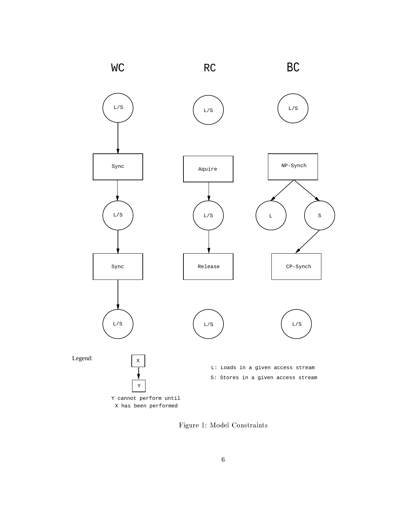

Figure 1: Model Constraints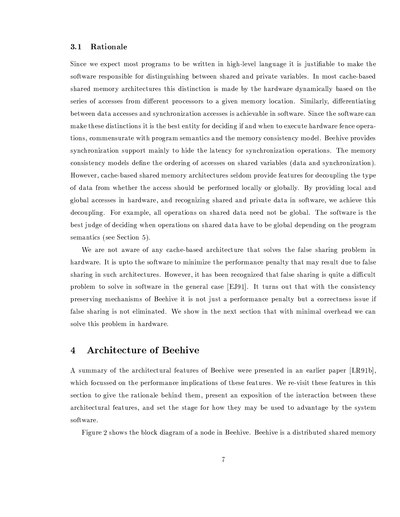#### $3.1$ Rationale

Since we expect most programs to be written in high-level language it is justifiable to make the software responsible for distinguishing between shared and private variables. In most cache-based shared memory architectures this distinction is made by the hardware dynamically based on the series of accesses from different processors to a given memory location. Similarly, differentiating between data accesses and synchronization accesses is achievable in software. Since the software can make these distinctions it is the best entity for deciding if and when to execute hardware fence operations, commensurate with program semantics and the memory consistency model. Beehive provides synchronization support mainly to hide the latency for synchronization operations. The memory consistency models define the ordering of accesses on shared variables (data and synchronization). However, cache-based shared memory architectures seldom provide features for decoupling the type of data from whether the access should be performed locally or globally. By providing local and global accesses in hardware, and recognizing shared and private data in software, we achieve this decoupling. For example, all operations on shared data need not be global. The software is the best judge of deciding when operations on shared data have to be global depending on the program semantics (see Section 5).

We are not aware of any cache-based architecture that solves the false sharing problem in hardware. It is upto the software to minimize the performance penalty that may result due to false sharing in such architectures. However, it has been recognized that false sharing is quite a difficult problem to solve in software in the general case [EJ91]. It turns out that with the consistency preserving mechanisms of Beehive it is not just a performance penalty but a correctness issue if false sharing is not eliminated. We show in the next section that with minimal overhead we can solve this problem in hardware.

## **Architecture of Beehive** 4

A summary of the architectural features of Beehive were presented in an earlier paper [LR91b], which focussed on the performance implications of these features. We re-visit these features in this section to give the rationale behind them, present an exposition of the interaction between these architectural features, and set the stage for how they may be used to advantage by the system software.

Figure 2 shows the block diagram of a node in Beehive. Beehive is a distributed shared memory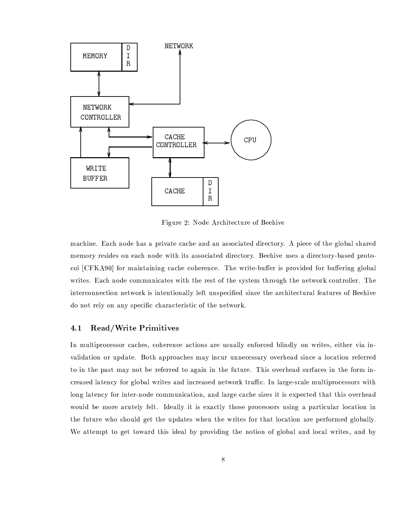

Figure 2: Node Architecture of Beehive

machine. Each node has a private cache and an associated directory. A piece of the global shared memory resides on each node with its associated directory. Beehive uses a directory-based protocol [CFKA90] for maintaining cache coherence. The write-buffer is provided for buffering global writes. Each node communicates with the rest of the system through the network controller. The interconnection network is intentionally left unspecified since the architectural features of Beehive do not rely on any specific characteristic of the network.

#### $4.1$ Read/Write Primitives

In multiprocessor caches, coherence actions are usually enforced blindly on writes, either via invalidation or update. Both approaches may incur unnecessary overhead since a location referred to in the past may not be referred to again in the future. This overhead surfaces in the form increased latency for global writes and increased network traffic. In large-scale multiprocessors with long latency for inter-node communication, and large cache sizes it is expected that this overhead would be more acutely felt. Ideally it is exactly those processors using a particular location in the future who should get the updates when the writes for that location are performed globally. We attempt to get toward this ideal by providing the notion of global and local writes, and by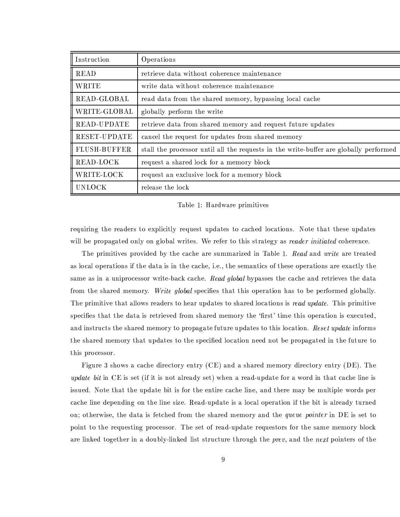| Instruction         | Operations                                                                            |
|---------------------|---------------------------------------------------------------------------------------|
| <b>READ</b>         | retrieve data without coherence maintenance                                           |
| <b>WRITE</b>        | write data without coherence maintenance                                              |
| READ-GLOBAL         | read data from the shared memory, bypassing local cache                               |
| WRITE-GLOBAL        | globally perform the write                                                            |
| READ-UPDATE         | retrieve data from shared memory and request future updates                           |
| RESET-UPDATE        | cancel the request for updates from shared memory                                     |
| <b>FLUSH-BUFFER</b> | stall the processor until all the requests in the write-buffer are globally performed |
| READ-LOCK           | request a shared lock for a memory block                                              |
| WRITE-LOCK          | request an exclusive lock for a memory block                                          |
| <b>UNLOCK</b>       | release the lock                                                                      |

# Table 1: Hardware primitives

requiring the readers to explicitly request updates to cached locations. Note that these updates will be propagated only on global writes. We refer to this strategy as reader initiated coherence.

The primitives provided by the cache are summarized in Table 1. Read and write are treated as local operations if the data is in the cache, i.e., the semantics of these operations are exactly the same as in a uniprocessor write-back cache. Read global bypasses the cache and retrieves the data from the shared memory. Write global specifies that this operation has to be performed globally. The primitive that allows readers to hear updates to shared locations is read update. This primitive specifies that the data is retrieved from shared memory the 'first' time this operation is executed, and instructs the shared memory to propagate future updates to this location. Reset update informs the shared memory that updates to the specified location need not be propagated in the future to this processor.

Figure 3 shows a cache directory entry (CE) and a shared memory directory entry (DE). The *update bit* in CE is set (if it is not already set) when a read-update for a word in that cache line is issued. Note that the update bit is for the entire cache line, and there may be multiple words per cache line depending on the line size. Read-update is a local operation if the bit is already turned on; otherwise, the data is fetched from the shared memory and the queue pointer in DE is set to point to the requesting processor. The set of read-update requestors for the same memory block are linked together in a doubly-linked list structure through the *prev*, and the *next* pointers of the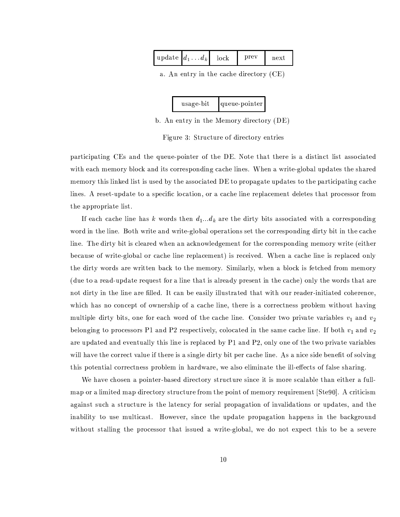| hτρν<br>update $d_1$<br>$\cdots a_k$ |  |
|--------------------------------------|--|
|--------------------------------------|--|

a. An entry in the cache directory (CE)

| usage bit | Iqueue-pointer |
|-----------|----------------|
|-----------|----------------|

b. An entry in the Memory directory (DE)

Figure 3: Structure of directory entries

participating CEs and the queue-pointer of the DE. Note that there is a distinct list associated with each memory block and its corresponding cache lines. When a write-global updates the shared memory this linked list is used by the associated DE to propagate updates to the participating cache lines. A reset-update to a specific location, or a cache line replacement deletes that processor from the appropriate list.

If each cache line has k words then  $d_1...d_k$  are the dirty bits associated with a corresponding word in the line. Both write and write-global operations set the corresponding dirty bit in the cache line. The dirty bit is cleared when an acknowledgement for the corresponding memory write (either because of write-global or cache line replacement) is received. When a cache line is replaced only the dirty words are written back to the memory. Similarly, when a block is fetched from memory (due to a read-update request for a line that is already present in the cache) only the words that are not dirty in the line are filled. It can be easily illustrated that with our reader-initiated coherence, which has no concept of ownership of a cache line, there is a correctness problem without having multiple dirty bits, one for each word of the cache line. Consider two private variables  $v_1$  and  $v_2$ belonging to processors P1 and P2 respectively, colocated in the same cache line. If both  $v_1$  and  $v_2$ are updated and eventually this line is replaced by P1 and P2, only one of the two private variables will have the correct value if there is a single dirty bit per cache line. As a nice side benefit of solving this potential correctness problem in hardware, we also eliminate the ill-effects of false sharing.

We have chosen a pointer-based directory structure since it is more scalable than either a fullmap or a limited map directory structure from the point of memory requirement [Ste90]. A criticism against such a structure is the latency for serial propagation of invalidations or updates, and the inability to use multicast. However, since the update propagation happens in the background without stalling the processor that issued a write-global, we do not expect this to be a severe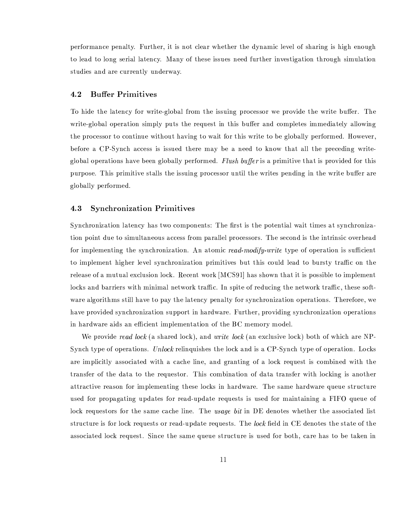performance penalty. Further, it is not clear whether the dynamic level of sharing is high enough to lead to long serial latency. Many of these issues need further investigation through simulation studies and are currently underway.

### **Buffer Primitives** 4.2

To hide the latency for write-global from the issuing processor we provide the write buffer. The write-global operation simply puts the request in this buffer and completes immediately allowing the processor to continue without having to wait for this write to be globally performed. However, before a CP-Synch access is issued there may be a need to know that all the preceding writeglobal operations have been globally performed. Flush buffer is a primitive that is provided for this purpose. This primitive stalls the issuing processor until the writes pending in the write buffer are globally performed.

#### **Synchronization Primitives** 4.3

Synchronization latency has two components: The first is the potential wait times at synchronization point due to simultaneous access from parallel processors. The second is the intrinsic overhead for implementing the synchronization. An atomic read-modify-write type of operation is sufficient to implement higher level synchronization primitives but this could lead to bursty traffic on the release of a mutual exclusion lock. Recent work [MCS91] has shown that it is possible to implement locks and barriers with minimal network traffic. In spite of reducing the network traffic, these software algorithms still have to pay the latency penalty for synchronization operations. Therefore, we have provided synchronization support in hardware. Further, providing synchronization operations in hardware aids an efficient implementation of the BC memory model.

We provide read lock (a shared lock), and write lock (an exclusive lock) both of which are NP-Synch type of operations. Unlock relinquishes the lock and is a CP-Synch type of operation. Locks are implicitly associated with a cache line, and granting of a lock request is combined with the transfer of the data to the requestor. This combination of data transfer with locking is another attractive reason for implementing these locks in hardware. The same hardware queue structure used for propagating updates for read-update requests is used for maintaining a FIFO queue of lock requestors for the same cache line. The usage bit in DE denotes whether the associated list structure is for lock requests or read-update requests. The lock field in CE denotes the state of the associated lock request. Since the same queue structure is used for both, care has to be taken in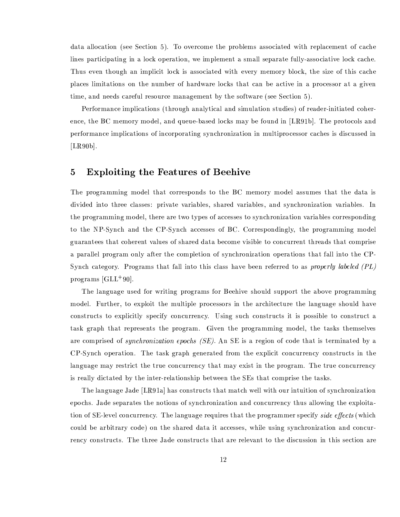data allocation (see Section 5). To overcome the problems associated with replacement of cache lines participating in a lock operation, we implement a small separate fully-associative lock cache. Thus even though an implicit lock is associated with every memory block, the size of this cache places limitations on the number of hardware locks that can be active in a processor at a given time, and needs careful resource management by the software (see Section 5).

Performance implications (through analytical and simulation studies) of reader-initiated coherence, the BC memory model, and queue-based locks may be found in [LR91b]. The protocols and performance implications of incorporating synchronization in multiprocessor caches is discussed in  $[LR90b].$ 

## $\mathbf{5}$ **Exploiting the Features of Beehive**

The programming model that corresponds to the BC memory model assumes that the data is divided into three classes: private variables, shared variables, and synchronization variables. In the programming model, there are two types of accesses to synchronization variables corresponding to the NP-Synch and the CP-Synch accesses of BC. Correspondingly, the programming model guarantees that coherent values of shared data become visible to concurrent threads that comprise a parallel program only after the completion of synchronization operations that fall into the CP-Synch category. Programs that fall into this class have been referred to as *properly labeled (PL)* programs  $\left[ GLL + 90 \right]$ .

The language used for writing programs for Beehive should support the above programming model. Further, to exploit the multiple processors in the architecture the language should have constructs to explicitly specify concurrency. Using such constructs it is possible to construct a task graph that represents the program. Given the programming model, the tasks themselves are comprised of *synchronization epochs (SE)*. An SE is a region of code that is terminated by a CP-Synch operation. The task graph generated from the explicit concurrency constructs in the language may restrict the true concurrency that may exist in the program. The true concurrency is really dictated by the inter-relationship between the SEs that comprise the tasks.

The language Jade [LR91a] has constructs that match well with our intuition of synchronization epochs. Jade separates the notions of synchronization and concurrency thus allowing the exploitation of SE-level concurrency. The language requires that the programmer specify side effects (which could be arbitrary code) on the shared data it accesses, while using synchronization and concurrency constructs. The three Jade constructs that are relevant to the discussion in this section are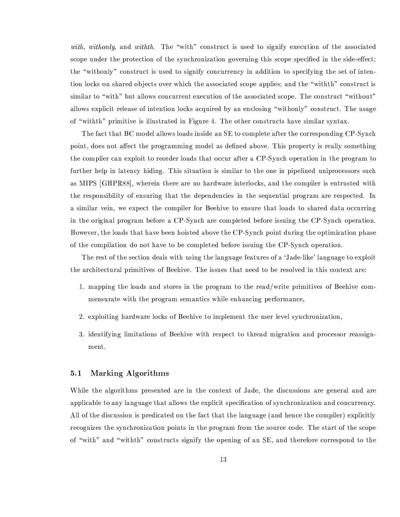with, withonly, and withth. The "with" construct is used to signify execution of the associated scope under the protection of the synchronization governing this scope specified in the side-effect; the "withonly" construct is used to signify concurrency in addition to specifying the set of intention locks on shared objects over which the associated scope applies; and the "withth" construct is similar to "with" but allows concurrent execution of the associated scope. The construct "without" allows explicit release of intention locks acquired by an enclosing "withonly" construct. The usage of "withth" primitive is illustrated in Figure 4. The other constructs have similar syntax.

The fact that BC model allows loads inside an SE to complete after the corresponding CP-Synch point, does not affect the programming model as defined above. This property is really something the compiler can exploit to reorder loads that occur after a CP-Synch operation in the program to further help in latency hiding. This situation is similar to the one in pipelined uniprocessors such as MIPS [GHPR88], wherein there are no hardware interlocks, and the compiler is entrusted with the responsibility of ensuring that the dependencies in the sequential program are respected. In a similar vein, we expect the compiler for Beehive to ensure that loads to shared data occurring in the original program before a CP-Synch are completed before issuing the CP-Synch operation. However, the loads that have been hoisted above the CP-Synch point during the optimization phase of the compilation do not have to be completed before issuing the CP-Synch operation.

The rest of the section deals with using the language features of a 'Jade-like' language to exploit the architectural primitives of Beehive. The issues that need to be resolved in this context are:

- 1. mapping the loads and stores in the program to the read/write primitives of Beehive commensurate with the program semantics while enhancing performance,
- 2. exploiting hardware locks of Beehive to implement the user level synchronization,
- 3. identifying limitations of Beehive with respect to thread migration and processor reassignment.

#### Marking Algorithms  $5.1$

While the algorithms presented are in the context of Jade, the discussions are general and are applicable to any language that allows the explicit specification of synchronization and concurrency. All of the discussion is predicated on the fact that the language (and hence the compiler) explicitly recognizes the synchronization points in the program from the source code. The start of the scope of "with" and "withth" constructs signify the opening of an SE, and therefore correspond to the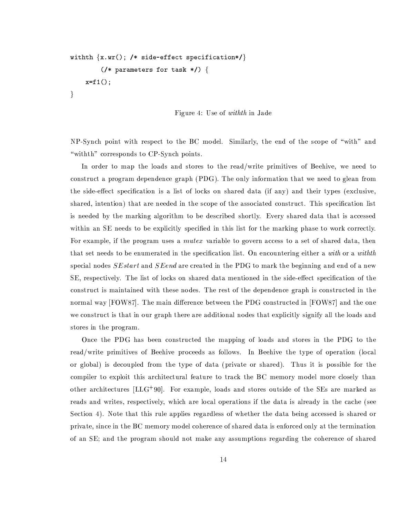```
withth \{x.wr(); /* side-effect specification*/}
       \frac{1}{2} (/* parameters for task */) {
  x=f1();\}
```
Figure 4: Use of *withth* in Jade

NP-Synch point with respect to the BC model. Similarly, the end of the scope of "with" and "withth" corresponds to CP-Synch points.

In order to map the loads and stores to the read/write primitives of Beehive, we need to construct a program dependence graph (PDG). The only information that we need to glean from the side-effect specification is a list of locks on shared data (if any) and their types (exclusive, shared, intention) that are needed in the scope of the associated construct. This specification list is needed by the marking algorithm to be described shortly. Every shared data that is accessed within an SE needs to be explicitly specified in this list for the marking phase to work correctly. For example, if the program uses a *mutex* variable to govern access to a set of shared data, then that set needs to be enumerated in the specification list. On encountering either a with or a withth special nodes  $SEstart$  and  $SEend$  are created in the PDG to mark the beginning and end of a new SE, respectively. The list of locks on shared data mentioned in the side-effect specification of the construct is maintained with these nodes. The rest of the dependence graph is constructed in the normal way [FOW87]. The main difference between the PDG constructed in [FOW87] and the one we construct is that in our graph there are additional nodes that explicitly signify all the loads and stores in the program.

Once the PDG has been constructed the mapping of loads and stores in the PDG to the read/write primitives of Beehive proceeds as follows. In Beehive the type of operation (local or global) is decoupled from the type of data (private or shared). Thus it is possible for the compiler to exploit this architectural feature to track the BC memory model more closely than other architectures [LLG<sup>+90]</sup>. For example, loads and stores outside of the SEs are marked as reads and writes, respectively, which are local operations if the data is already in the cache (see Section 4). Note that this rule applies regardless of whether the data being accessed is shared or private, since in the BC memory model coherence of shared data is enforced only at the termination of an SE; and the program should not make any assumptions regarding the coherence of shared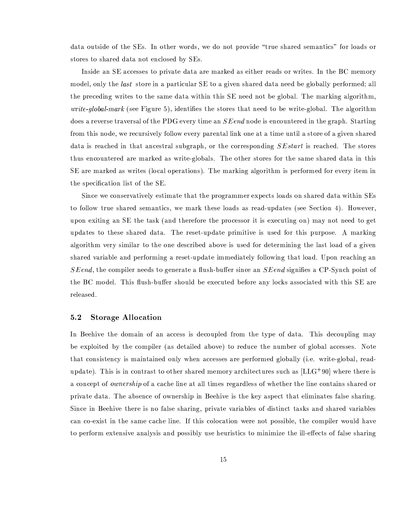data outside of the SEs. In other words, we do not provide "true shared semantics" for loads or stores to shared data not enclosed by SEs.

Inside an SE accesses to private data are marked as either reads or writes. In the BC memory model, only the *last* store in a particular SE to a given shared data need be globally performed; all the preceding writes to the same data within this SE need not be global. The marking algorithm, *write-global-mark* (see Figure 5), identifies the stores that need to be write-global. The algorithm does a reverse traversal of the PDG every time an  $S\,End$  node is encountered in the graph. Starting from this node, we recursively follow every parental link one at a time until a store of a given shared data is reached in that ancestral subgraph, or the corresponding  $SEstart$  is reached. The stores thus encountered are marked as write-globals. The other stores for the same shared data in this SE are marked as writes (local operations). The marking algorithm is performed for every item in the specification list of the SE.

Since we conservatively estimate that the programmer expects loads on shared data within SEs to follow true shared semantics, we mark these loads as read-updates (see Section 4). However, upon exiting an SE the task (and therefore the processor it is executing on) may not need to get updates to these shared data. The reset-update primitive is used for this purpose. A marking algorithm very similar to the one described above is used for determining the last load of a given shared variable and performing a reset-update immediately following that load. Upon reaching an  $SEend$ , the compiler needs to generate a flush-buffer since an  $SEend$  signifies a CP-Synch point of the BC model. This flush-buffer should be executed before any locks associated with this SE are released.

#### $5.2$ **Storage Allocation**

In Beehive the domain of an access is decoupled from the type of data. This decoupling may be exploited by the compiler (as detailed above) to reduce the number of global accesses. Note that consistency is maintained only when accesses are performed globally (i.e. write-global, readupdate). This is in contrast to other shared memory architectures such as  $[LLG+90]$  where there is a concept of *ownership* of a cache line at all times regardless of whether the line contains shared or private data. The absence of ownership in Beehive is the key aspect that eliminates false sharing. Since in Beehive there is no false sharing, private variables of distinct tasks and shared variables can co-exist in the same cache line. If this colocation were not possible, the compiler would have to perform extensive analysis and possibly use heuristics to minimize the ill-effects of false sharing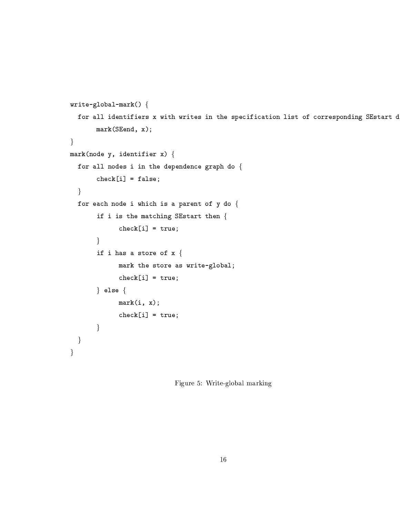```
write-global-mark() {for all identifiers x with writes in the specification list of corresponding SEstart d
     mark(SEnd, x);\}mark(node y, identifier x) {
for all nodes i in the dependence graph do \{check[i] = false;\}for each node i which is a parent of y do \{if i is the matching SEstart then {
           check[i] = true;\}if i has a store of x \{mark the store as write-global;
           check[i] = true;\} else \{mark(i, x);check[i] = true;\}\}\}
```
Figure 5: Write-global marking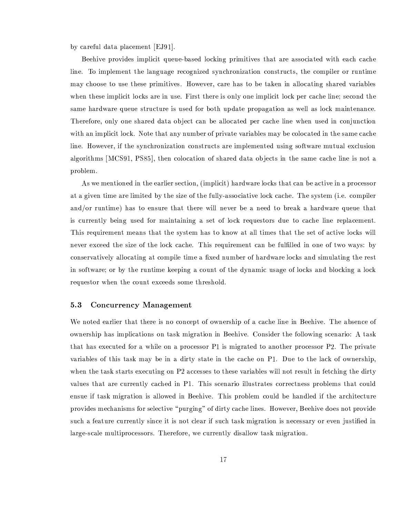by careful data placement [EJ91].

Beehive provides implicit queue-based locking primitives that are associated with each cache line. To implement the language recognized synchronization constructs, the compiler or runtime may choose to use these primitives. However, care has to be taken in allocating shared variables when these implicit locks are in use. First there is only one implicit lock per cache line; second the same hardware queue structure is used for both update propagation as well as lock maintenance. Therefore, only one shared data object can be allocated per cache line when used in conjunction with an implicit lock. Note that any number of private variables may be colocated in the same cache line. However, if the synchronization constructs are implemented using software mutual exclusion algorithms [MCS91, PS85], then colocation of shared data objects in the same cache line is not a problem.

As we mentioned in the earlier section, (implicit) hardware locks that can be active in a processor at a given time are limited by the size of the fully-associative lock cache. The system (i.e. compiler and/or runtime) has to ensure that there will never be a need to break a hardware queue that is currently being used for maintaining a set of lock requestors due to cache line replacement. This requirement means that the system has to know at all times that the set of active locks will never exceed the size of the lock cache. This requirement can be fulfilled in one of two ways: by conservatively allocating at compile time a fixed number of hardware locks and simulating the rest in software; or by the runtime keeping a count of the dynamic usage of locks and blocking a lock requestor when the count exceeds some threshold.

#### **Concurrency Management**  $5.3$

We noted earlier that there is no concept of ownership of a cache line in Beehive. The absence of ownership has implications on task migration in Beehive. Consider the following scenario: A task that has executed for a while on a processor P1 is migrated to another processor P2. The private variables of this task may be in a dirty state in the cache on P1. Due to the lack of ownership, when the task starts executing on P2 accesses to these variables will not result in fetching the dirty values that are currently cached in P1. This scenario illustrates correctness problems that could ensue if task migration is allowed in Beehive. This problem could be handled if the architecture provides mechanisms for selective "purging" of dirty cache lines. However, Beehive does not provide such a feature currently since it is not clear if such task migration is necessary or even justified in large-scale multiprocessors. Therefore, we currently disallow task migration.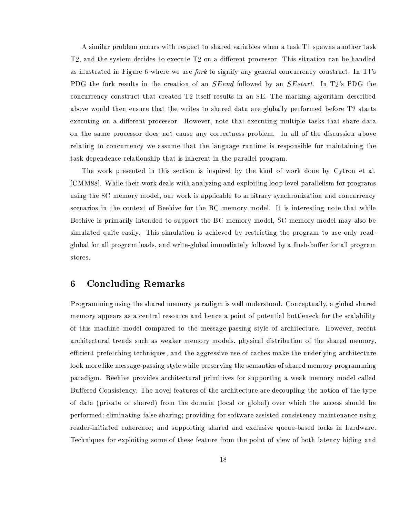A similar problem occurs with respect to shared variables when a task T1 spawns another task T2, and the system decides to execute T2 on a different processor. This situation can be handled as illustrated in Figure 6 where we use fork to signify any general concurrency construct. In T1's PDG the fork results in the creation of an *SEend* followed by an *SE start*. In T2's PDG the concurrency construct that created T2 itself results in an SE. The marking algorithm described above would then ensure that the writes to shared data are globally performed before T2 starts executing on a different processor. However, note that executing multiple tasks that share data on the same processor does not cause any correctness problem. In all of the discussion above relating to concurrency we assume that the language runtime is responsible for maintaining the task dependence relationship that is inherent in the parallel program.

The work presented in this section is inspired by the kind of work done by Cytron et al. [CMM88]. While their work deals with analyzing and exploiting loop-level parallelism for programs using the SC memory model, our work is applicable to arbitrary synchronization and concurrency scenarios in the context of Beehive for the BC memory model. It is interesting note that while Beehive is primarily intended to support the BC memory model, SC memory model may also be simulated quite easily. This simulation is achieved by restricting the program to use only readglobal for all program loads, and write-global immediately followed by a flush-buffer for all program stores.

## **Concluding Remarks** 6

Programming using the shared memory paradigm is well understood. Conceptually, a global shared memory appears as a central resource and hence a point of potential bottleneck for the scalability of this machine model compared to the message-passing style of architecture. However, recent architectural trends such as weaker memory models, physical distribution of the shared memory, efficient prefetching techniques, and the aggressive use of caches make the underlying architecture look more like message-passing style while preserving the semantics of shared memory programming paradigm. Beehive provides architectural primitives for supporting a weak memory model called Buffered Consistency. The novel features of the architecture are decoupling the notion of the type of data (private or shared) from the domain (local or global) over which the access should be performed; eliminating false sharing; providing for software assisted consistency maintenance using reader-initiated coherence; and supporting shared and exclusive queue-based locks in hardware. Techniques for exploiting some of these feature from the point of view of both latency hiding and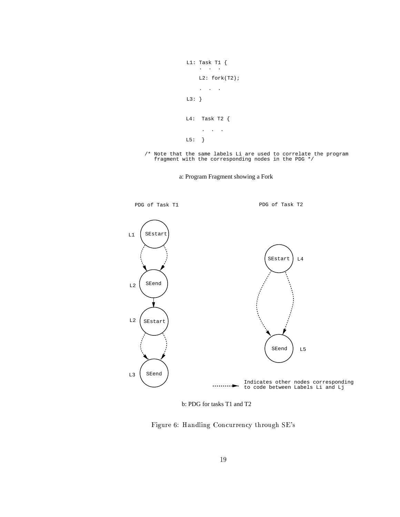```
L1: Task T1 \{\mathcal{L}_{\text{max}}L2: fork(T2);\sim \sim\ddot{\phantom{a}}L3: \}L4: Task T2 \{\ddot{\phantom{0}}\sim\mathcal{A}L5:\}
```
/\* Note that the same labels Li are used to correlate the program fragment with the corresponding nodes in the PDG  $*/$ 

a: Program Fragment showing a Fork



b: PDG for tasks T1 and T2

Figure 6: Handling Concurrency through SE's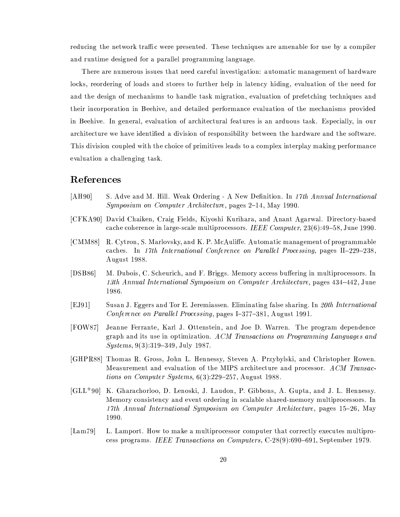reducing the network traffic were presented. These techniques are amenable for use by a compiler and runtime designed for a parallel programming language.

There are numerous issues that need careful investigation: automatic management of hardware locks, reordering of loads and stores to further help in latency hiding, evaluation of the need for and the design of mechanisms to handle task migration, evaluation of prefetching techniques and their incorporation in Beehive, and detailed performance evaluation of the mechanisms provided in Beehive. In general, evaluation of architectural features is an arduous task. Especially, in our architecture we have identified a division of responsibility between the hardware and the software. This division coupled with the choice of primitives leads to a complex interplay making performance evaluation a challenging task.

# References

- $[AH90]$ S. Adve and M. Hill. Weak Ordering - A New Definition. In 17th Annual International *Symposium on Computer Architecture*, pages 2–14, May 1990.
- [CFKA90] David Chaiken, Craig Fields, Kiyoshi Kurihara, and Anant Agarwal. Directory-based cache coherence in large-scale multiprocessors. IEEE Computer,  $23(6):49-58$ , June 1990.
- [CMM88] R. Cytron, S. Marlovsky, and K. P. McAuliffe. Automatic management of programmable caches. In 17th International Conference on Parallel Processing, pages II-229-238, August 1988.
- $[DSB86]$ M. Dubois, C. Scheurich, and F. Briggs. Memory access buffering in multiprocessors. In 13th Annual International Symposium on Computer Architecture, pages 434–442, June 1986.
- $[EJ91]$ Susan J. Eggers and Tor E. Jeremiassen. Eliminating false sharing. In 20th International Conference on Parallel Processing, pages I-377-381, August 1991.
- $[FOW87]$ Jeanne Ferrante, Karl J. Ottenstein, and Joe D. Warren. The program dependence graph and its use in optimization. ACM Transactions on Programming Languages and Systems, 9(3):319-349, July 1987.
- [GHPR88] Thomas R. Gross, John L. Hennessy, Steven A. Przybylski, and Christopher Rowen. Measurement and evaluation of the MIPS architecture and processor. ACM Transactions on Computer Systems,  $6(3):229-257$ , August 1988.
- [GLL<sup>+90]</sup> K. Gharachorloo, D. Lenoski, J. Laudon, P. Gibbons, A. Gupta, and J. L. Hennessy. Memory consistency and event ordering in scalable shared-memory multiprocessors. In 17th Annual International Symposium on Computer Architecture, pages 15-26, May 1990.
- $\text{[Lam79]}$ L. Lamport. How to make a multiprocessor computer that correctly executes multiprocess programs. IEEE Transactions on Computers,  $C-28(9):690-691$ , September 1979.